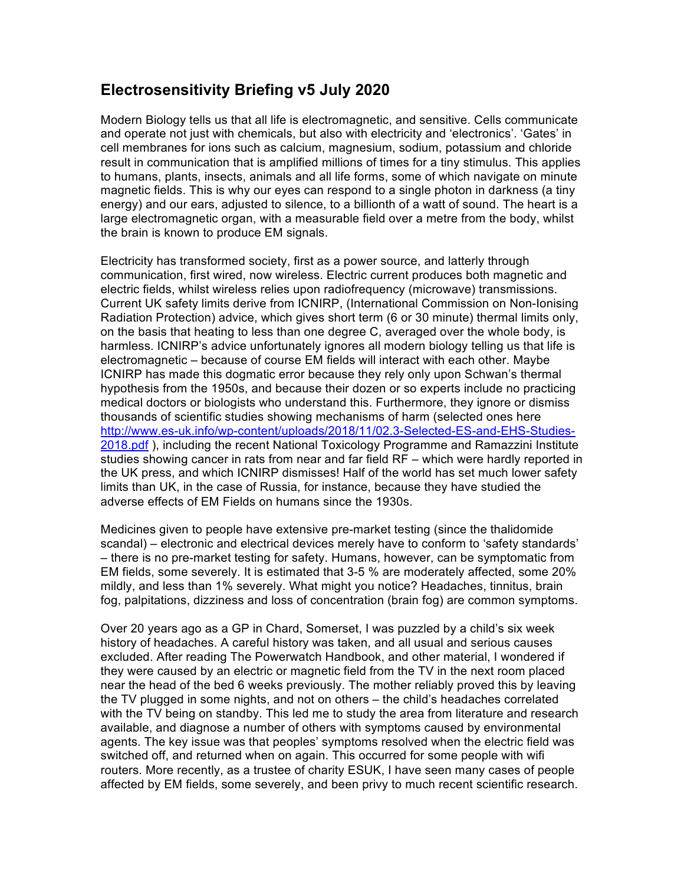## **Electrosensitivity Briefing v5 July 2020**

Modern Biology tells us that all life is electromagnetic, and sensitive. Cells communicate and operate not just with chemicals, but also with electricity and 'electronics'. 'Gates' in cell membranes for ions such as calcium, magnesium, sodium, potassium and chloride result in communication that is amplified millions of times for a tiny stimulus. This applies to humans, plants, insects, animals and all life forms, some of which navigate on minute magnetic fields. This is why our eyes can respond to a single photon in darkness (a tiny energy) and our ears, adjusted to silence, to a billionth of a watt of sound. The heart is a large electromagnetic organ, with a measurable field over a metre from the body, whilst the brain is known to produce EM signals.

Electricity has transformed society, first as a power source, and latterly through communication, first wired, now wireless. Electric current produces both magnetic and electric fields, whilst wireless relies upon radiofrequency (microwave) transmissions. Current UK safety limits derive from ICNIRP, (International Commission on Non-Ionising Radiation Protection) advice, which gives short term (6 or 30 minute) thermal limits only, on the basis that heating to less than one degree C, averaged over the whole body, is harmless. ICNIRP's advice unfortunately ignores all modern biology telling us that life is electromagnetic – because of course EM fields will interact with each other. Maybe ICNIRP has made this dogmatic error because they rely only upon Schwan's thermal hypothesis from the 1950s, and because their dozen or so experts include no practicing medical doctors or biologists who understand this. Furthermore, they ignore or dismiss thousands of scientific studies showing mechanisms of harm (selected ones here http://www.es-uk.info/wp-content/uploads/2018/11/02.3-Selected-ES-and-EHS-Studies-2018.pdf ), including the recent National Toxicology Programme and Ramazzini Institute studies showing cancer in rats from near and far field RF – which were hardly reported in the UK press, and which ICNIRP dismisses! Half of the world has set much lower safety limits than UK, in the case of Russia, for instance, because they have studied the adverse effects of EM Fields on humans since the 1930s.

Medicines given to people have extensive pre-market testing (since the thalidomide scandal) – electronic and electrical devices merely have to conform to 'safety standards' – there is no pre-market testing for safety. Humans, however, can be symptomatic from EM fields, some severely. It is estimated that 3-5 % are moderately affected, some 20% mildly, and less than 1% severely. What might you notice? Headaches, tinnitus, brain fog, palpitations, dizziness and loss of concentration (brain fog) are common symptoms.

Over 20 years ago as a GP in Chard, Somerset, I was puzzled by a child's six week history of headaches. A careful history was taken, and all usual and serious causes excluded. After reading The Powerwatch Handbook, and other material, I wondered if they were caused by an electric or magnetic field from the TV in the next room placed near the head of the bed 6 weeks previously. The mother reliably proved this by leaving the TV plugged in some nights, and not on others – the child's headaches correlated with the TV being on standby. This led me to study the area from literature and research available, and diagnose a number of others with symptoms caused by environmental agents. The key issue was that peoples' symptoms resolved when the electric field was switched off, and returned when on again. This occurred for some people with wifi routers. More recently, as a trustee of charity ESUK, I have seen many cases of people affected by EM fields, some severely, and been privy to much recent scientific research.